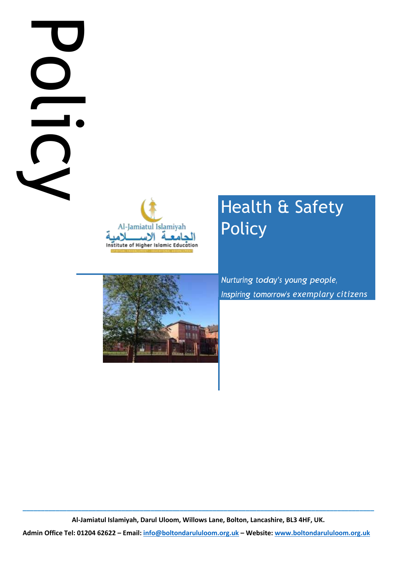# **Administrational Bandaruloom.**<br>
Administrational Bandarululoom.org.uk **–**<br> **Administrational Bandarulu of Bandarulu Office Tel: 0204 62622 – Cmail:**<br> **Administrational Bandarulu Office Tel: 0204 62622 – Cmail:** info@bolto



# Health & Safety Policy



*Inspiring tomorrow's exemplary citizens* 

**\_\_\_\_\_\_\_\_\_\_\_\_\_\_\_\_\_\_\_\_\_\_\_\_\_\_\_\_\_\_\_\_\_\_\_\_\_\_\_\_\_\_\_\_\_\_\_\_\_\_\_\_\_\_\_\_\_\_\_\_\_\_\_\_\_\_\_\_\_\_\_\_\_\_\_\_\_\_\_\_\_\_\_\_\_\_\_\_\_\_\_\_\_\_\_\_ Al-Jamiatul Islamiyah, Darul Uloom, Willows Lane, Bolton, Lancashire, BL3 4HF, UK.**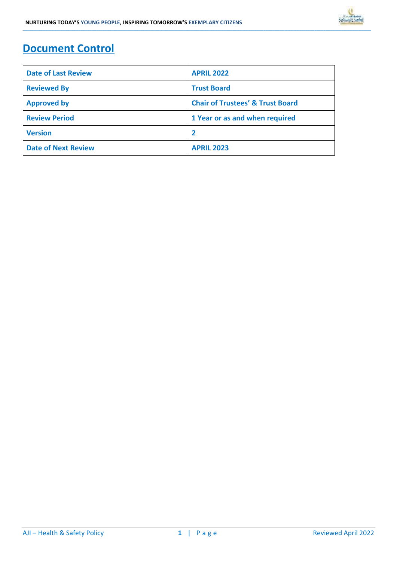# **Document Control**

| <b>Date of Last Review</b> | <b>APRIL 2022</b>                           |  |  |
|----------------------------|---------------------------------------------|--|--|
| <b>Reviewed By</b>         | <b>Trust Board</b>                          |  |  |
| <b>Approved by</b>         | <b>Chair of Trustees' &amp; Trust Board</b> |  |  |
| <b>Review Period</b>       | 1 Year or as and when required              |  |  |
| <b>Version</b>             |                                             |  |  |
| <b>Date of Next Review</b> | <b>APRIL 2023</b>                           |  |  |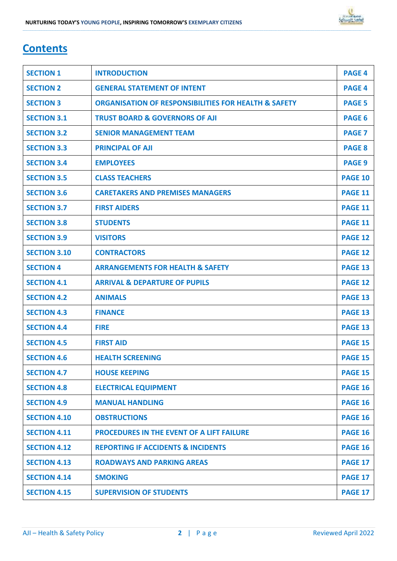## **Contents**

| <b>SECTION 1</b>    | <b>INTRODUCTION</b>                                             | <b>PAGE 4</b>  |
|---------------------|-----------------------------------------------------------------|----------------|
| <b>SECTION 2</b>    | <b>GENERAL STATEMENT OF INTENT</b>                              | <b>PAGE 4</b>  |
| <b>SECTION 3</b>    | <b>ORGANISATION OF RESPONSIBILITIES FOR HEALTH &amp; SAFETY</b> | <b>PAGE 5</b>  |
| <b>SECTION 3.1</b>  | <b>TRUST BOARD &amp; GOVERNORS OF AJI</b>                       | <b>PAGE 6</b>  |
| <b>SECTION 3.2</b>  | <b>SENIOR MANAGEMENT TEAM</b>                                   | <b>PAGE 7</b>  |
| <b>SECTION 3.3</b>  | <b>PRINCIPAL OF AJI</b>                                         | <b>PAGE 8</b>  |
| <b>SECTION 3.4</b>  | <b>EMPLOYEES</b>                                                | <b>PAGE 9</b>  |
| <b>SECTION 3.5</b>  | <b>CLASS TEACHERS</b>                                           | <b>PAGE 10</b> |
| <b>SECTION 3.6</b>  | <b>CARETAKERS AND PREMISES MANAGERS</b>                         | <b>PAGE 11</b> |
| <b>SECTION 3.7</b>  | <b>FIRST AIDERS</b>                                             | <b>PAGE 11</b> |
| <b>SECTION 3.8</b>  | <b>STUDENTS</b>                                                 | <b>PAGE 11</b> |
| <b>SECTION 3.9</b>  | <b>VISITORS</b>                                                 | <b>PAGE 12</b> |
| <b>SECTION 3.10</b> | <b>CONTRACTORS</b>                                              | <b>PAGE 12</b> |
| <b>SECTION 4</b>    | <b>ARRANGEMENTS FOR HEALTH &amp; SAFETY</b>                     | <b>PAGE 13</b> |
| <b>SECTION 4.1</b>  | <b>ARRIVAL &amp; DEPARTURE OF PUPILS</b>                        | <b>PAGE 12</b> |
| <b>SECTION 4.2</b>  | <b>ANIMALS</b>                                                  | <b>PAGE 13</b> |
| <b>SECTION 4.3</b>  | <b>FINANCE</b>                                                  | <b>PAGE 13</b> |
| <b>SECTION 4.4</b>  | <b>FIRE</b>                                                     | <b>PAGE 13</b> |
| <b>SECTION 4.5</b>  | <b>FIRST AID</b>                                                | <b>PAGE 15</b> |
| <b>SECTION 4.6</b>  | <b>HEALTH SCREENING</b>                                         | <b>PAGE 15</b> |
| <b>SECTION 4.7</b>  | <b>HOUSE KEEPING</b>                                            | <b>PAGE 15</b> |
| <b>SECTION 4.8</b>  | <b>ELECTRICAL EQUIPMENT</b>                                     | <b>PAGE 16</b> |
| <b>SECTION 4.9</b>  | <b>MANUAL HANDLING</b>                                          | <b>PAGE 16</b> |
| <b>SECTION 4.10</b> | <b>OBSTRUCTIONS</b>                                             | <b>PAGE 16</b> |
| <b>SECTION 4.11</b> | <b>PROCEDURES IN THE EVENT OF A LIFT FAILURE</b>                | <b>PAGE 16</b> |
| <b>SECTION 4.12</b> | <b>REPORTING IF ACCIDENTS &amp; INCIDENTS</b>                   | <b>PAGE 16</b> |
| <b>SECTION 4.13</b> | <b>ROADWAYS AND PARKING AREAS</b>                               | <b>PAGE 17</b> |
| <b>SECTION 4.14</b> | <b>SMOKING</b>                                                  | <b>PAGE 17</b> |
| <b>SECTION 4.15</b> | <b>SUPERVISION OF STUDENTS</b>                                  | <b>PAGE 17</b> |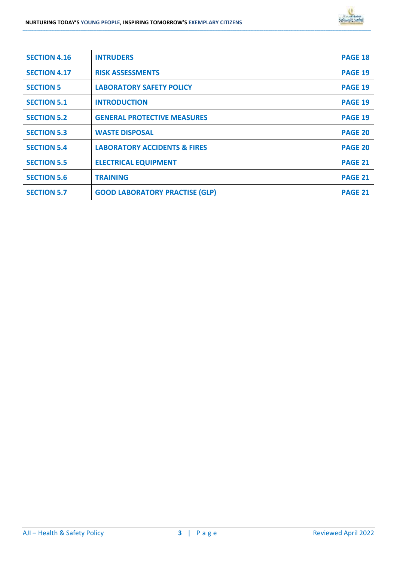| <b>SECTION 4.16</b> | <b>INTRUDERS</b>                        | <b>PAGE 18</b> |
|---------------------|-----------------------------------------|----------------|
| <b>SECTION 4.17</b> | <b>RISK ASSESSMENTS</b>                 | <b>PAGE 19</b> |
| <b>SECTION 5</b>    | <b>LABORATORY SAFETY POLICY</b>         | <b>PAGE 19</b> |
| <b>SECTION 5.1</b>  | <b>INTRODUCTION</b>                     | <b>PAGE 19</b> |
| <b>SECTION 5.2</b>  | <b>GENERAL PROTECTIVE MEASURES</b>      | <b>PAGE 19</b> |
| <b>SECTION 5.3</b>  | <b>WASTE DISPOSAL</b>                   | <b>PAGE 20</b> |
| <b>SECTION 5.4</b>  | <b>LABORATORY ACCIDENTS &amp; FIRES</b> | PAGE 20        |
| <b>SECTION 5.5</b>  | <b>ELECTRICAL EQUIPMENT</b>             | <b>PAGE 21</b> |
| <b>SECTION 5.6</b>  | <b>TRAINING</b>                         | <b>PAGE 21</b> |
| <b>SECTION 5.7</b>  | <b>GOOD LABORATORY PRACTISE (GLP)</b>   | <b>PAGE 21</b> |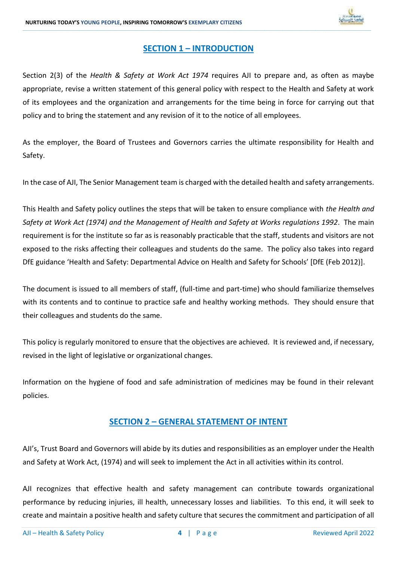

### **SECTION 1 – INTRODUCTION**

**\_\_\_\_\_\_\_\_\_\_\_\_\_\_\_\_\_\_\_\_\_\_\_\_\_\_\_\_\_\_\_\_\_\_\_\_\_\_\_\_\_\_\_\_\_\_\_\_\_\_\_\_\_\_\_\_\_\_\_\_\_\_\_\_\_\_\_\_\_\_\_\_\_\_\_\_\_\_\_\_\_\_\_\_\_\_\_\_\_\_\_\_\_\_\_\_\_\_\_\_\_\_\_\_\_\_\_\_\_\_\_\_\_\_\_\_\_\_\_\_\_\_\_\_\_\_\_\_\_\_\_\_\_\_\_\_\_\_\_\_\_\_\_\_\_\_\_\_\_\_\_\_\_\_\_\_\_\_\_\_\_\_\_\_\_\_\_\_\_\_\_\_\_\_\_\_\_\_\_\_\_\_\_\_\_\_\_\_\_\_\_\_\_\_\_\_\_\_\_\_\_\_\_\_\_\_\_\_\_\_\_\_\_\_\_\_\_\_\_\_\_\_\_\_\_\_\_\_\_\_\_\_\_\_\_\_\_\_\_\_\_\_\_\_\_\_\_\_\_\_\_\_\_\_\_\_\_\_\_\_\_\_\_\_\_\_\_\_\_\_\_\_\_\_\_\_\_\_\_\_\_\_\_\_\_\_\_\_\_\_\_\_\_\_\_\_\_\_\_\_\_\_\_\_\_\_\_\_\_\_\_\_\_\_\_\_\_\_\_\_\_\_\_\_\_\_\_\_\_\_\_\_\_\_\_\_\_\_\_\_\_\_\_\_\_\_\_\_\_\_**

Section 2(3) of the *Health & Safety at Work Act 1974* requires AJI to prepare and, as often as maybe appropriate, revise a written statement of this general policy with respect to the Health and Safety at work of its employees and the organization and arrangements for the time being in force for carrying out that policy and to bring the statement and any revision of it to the notice of all employees.

As the employer, the Board of Trustees and Governors carries the ultimate responsibility for Health and Safety.

In the case of AJI, The Senior Management team is charged with the detailed health and safety arrangements.

This Health and Safety policy outlines the steps that will be taken to ensure compliance with *the Health and Safety at Work Act (1974) and the Management of Health and Safety at Works regulations 1992*. The main requirement is for the institute so far as is reasonably practicable that the staff, students and visitors are not exposed to the risks affecting their colleagues and students do the same. The policy also takes into regard DfE guidance 'Health and Safety: Departmental Advice on Health and Safety for Schools' [DfE (Feb 2012)].

The document is issued to all members of staff, (full-time and part-time) who should familiarize themselves with its contents and to continue to practice safe and healthy working methods. They should ensure that their colleagues and students do the same.

This policy is regularly monitored to ensure that the objectives are achieved. It is reviewed and, if necessary, revised in the light of legislative or organizational changes.

Information on the hygiene of food and safe administration of medicines may be found in their relevant policies.

### **SECTION 2 – GENERAL STATEMENT OF INTENT**

AJI's, Trust Board and Governors will abide by its duties and responsibilities as an employer under the Health and Safety at Work Act, (1974) and will seek to implement the Act in all activities within its control.

AJI recognizes that effective health and safety management can contribute towards organizational performance by reducing injuries, ill health, unnecessary losses and liabilities. To this end, it will seek to create and maintain a positive health and safety culture that secures the commitment and participation of all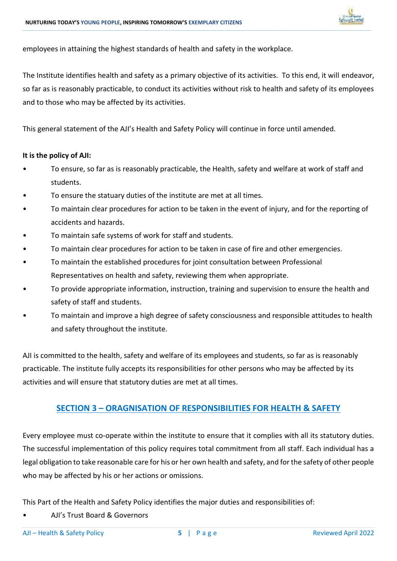

employees in attaining the highest standards of health and safety in the workplace.

The Institute identifies health and safety as a primary objective of its activities. To this end, it will endeavor, so far as is reasonably practicable, to conduct its activities without risk to health and safety of its employees and to those who may be affected by its activities.

**\_\_\_\_\_\_\_\_\_\_\_\_\_\_\_\_\_\_\_\_\_\_\_\_\_\_\_\_\_\_\_\_\_\_\_\_\_\_\_\_\_\_\_\_\_\_\_\_\_\_\_\_\_\_\_\_\_\_\_\_\_\_\_\_\_\_\_\_\_\_\_\_\_\_\_\_\_\_\_\_\_\_\_\_\_\_\_\_\_\_\_\_\_\_\_\_\_\_\_\_\_\_\_\_\_\_\_\_\_\_\_\_\_\_\_\_\_\_\_\_\_\_\_\_\_\_\_\_\_\_\_\_\_\_\_\_\_\_\_\_\_\_\_\_\_\_\_\_\_\_\_\_\_\_\_\_\_\_\_\_\_\_\_\_\_\_\_\_\_\_\_\_\_\_\_\_\_\_\_\_\_\_\_\_\_\_\_\_\_\_\_\_\_\_\_\_\_\_\_\_\_\_\_\_\_\_\_\_\_\_\_\_\_\_\_\_\_\_\_\_\_\_\_\_\_\_\_\_\_\_\_\_\_\_\_\_\_\_\_\_\_\_\_\_\_\_\_\_\_\_\_\_\_\_\_\_\_\_\_\_\_\_\_\_\_\_\_\_\_\_\_\_\_\_\_\_\_\_\_\_\_\_\_\_\_\_\_\_\_\_\_\_\_\_\_\_\_\_\_\_\_\_\_\_\_\_\_\_\_\_\_\_\_\_\_\_\_\_\_\_\_\_\_\_\_\_\_\_\_\_\_\_\_\_\_\_\_\_\_\_\_\_\_\_\_\_\_\_\_\_**

This general statement of the AJI's Health and Safety Policy will continue in force until amended.

### **It is the policy of AJI:**

- To ensure, so far as is reasonably practicable, the Health, safety and welfare at work of staff and students.
- To ensure the statuary duties of the institute are met at all times.
- To maintain clear procedures for action to be taken in the event of injury, and for the reporting of accidents and hazards.
- To maintain safe systems of work for staff and students.
- To maintain clear procedures for action to be taken in case of fire and other emergencies.
- To maintain the established procedures for joint consultation between Professional Representatives on health and safety, reviewing them when appropriate.
- To provide appropriate information, instruction, training and supervision to ensure the health and safety of staff and students.
- To maintain and improve a high degree of safety consciousness and responsible attitudes to health and safety throughout the institute.

AJI is committed to the health, safety and welfare of its employees and students, so far as is reasonably practicable. The institute fully accepts its responsibilities for other persons who may be affected by its activities and will ensure that statutory duties are met at all times.

### **SECTION 3 – ORAGNISATION OF RESPONSIBILITIES FOR HEALTH & SAFETY**

Every employee must co-operate within the institute to ensure that it complies with all its statutory duties. The successful implementation of this policy requires total commitment from all staff. Each individual has a legal obligation to take reasonable care for his or her own health and safety, and for the safety of other people who may be affected by his or her actions or omissions.

This Part of the Health and Safety Policy identifies the major duties and responsibilities of:

• AJI's Trust Board & Governors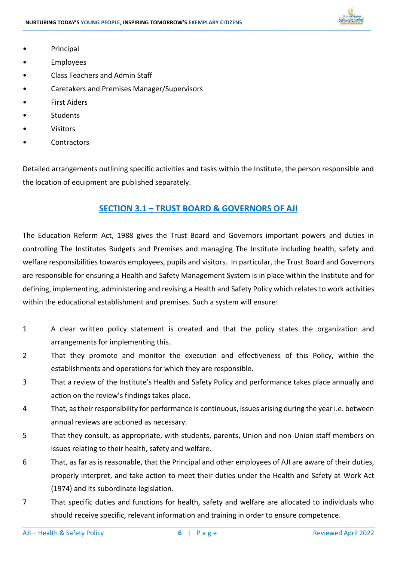

- Principal
- **Employees**
- Class Teachers and Admin Staff
- Caretakers and Premises Manager/Supervisors
- First Aiders
- **Students**
- Visitors
- **Contractors**

Detailed arrangements outlining specific activities and tasks within the Institute, the person responsible and the location of equipment are published separately.

**\_\_\_\_\_\_\_\_\_\_\_\_\_\_\_\_\_\_\_\_\_\_\_\_\_\_\_\_\_\_\_\_\_\_\_\_\_\_\_\_\_\_\_\_\_\_\_\_\_\_\_\_\_\_\_\_\_\_\_\_\_\_\_\_\_\_\_\_\_\_\_\_\_\_\_\_\_\_\_\_\_\_\_\_\_\_\_\_\_\_\_\_\_\_\_\_\_\_\_\_\_\_\_\_\_\_\_\_\_\_\_\_\_\_\_\_\_\_\_\_\_\_\_\_\_\_\_\_\_\_\_\_\_\_\_\_\_\_\_\_\_\_\_\_\_\_\_\_\_\_\_\_\_\_\_\_\_\_\_\_\_\_\_\_\_\_\_\_\_\_\_\_\_\_\_\_\_\_\_\_\_\_\_\_\_\_\_\_\_\_\_\_\_\_\_\_\_\_\_\_\_\_\_\_\_\_\_\_\_\_\_\_\_\_\_\_\_\_\_\_\_\_\_\_\_\_\_\_\_\_\_\_\_\_\_\_\_\_\_\_\_\_\_\_\_\_\_\_\_\_\_\_\_\_\_\_\_\_\_\_\_\_\_\_\_\_\_\_\_\_\_\_\_\_\_\_\_\_\_\_\_\_\_\_\_\_\_\_\_\_\_\_\_\_\_\_\_\_\_\_\_\_\_\_\_\_\_\_\_\_\_\_\_\_\_\_\_\_\_\_\_\_\_\_\_\_\_\_\_\_\_\_\_\_\_\_\_\_\_\_\_\_\_\_\_\_\_\_\_\_**

### **SECTION 3.1 – TRUST BOARD & GOVERNORS OF AJI**

The Education Reform Act, 1988 gives the Trust Board and Governors important powers and duties in controlling The Institutes Budgets and Premises and managing The Institute including health, safety and welfare responsibilities towards employees, pupils and visitors. In particular, the Trust Board and Governors are responsible for ensuring a Health and Safety Management System is in place within the Institute and for defining, implementing, administering and revising a Health and Safety Policy which relates to work activities within the educational establishment and premises. Such a system will ensure:

- 1 A clear written policy statement is created and that the policy states the organization and arrangements for implementing this.
- 2 That they promote and monitor the execution and effectiveness of this Policy, within the establishments and operations for which they are responsible.
- 3 That a review of the Institute's Health and Safety Policy and performance takes place annually and action on the review's findings takes place.
- 4 That, as their responsibility for performance is continuous, issues arising during the year i.e. between annual reviews are actioned as necessary.
- 5 That they consult, as appropriate, with students, parents, Union and non-Union staff members on issues relating to their health, safety and welfare.
- 6 That, as far as is reasonable, that the Principal and other employees of AJI are aware of their duties, properly interpret, and take action to meet their duties under the Health and Safety at Work Act (1974) and its subordinate legislation.
- 7 That specific duties and functions for health, safety and welfare are allocated to individuals who should receive specific, relevant information and training in order to ensure competence.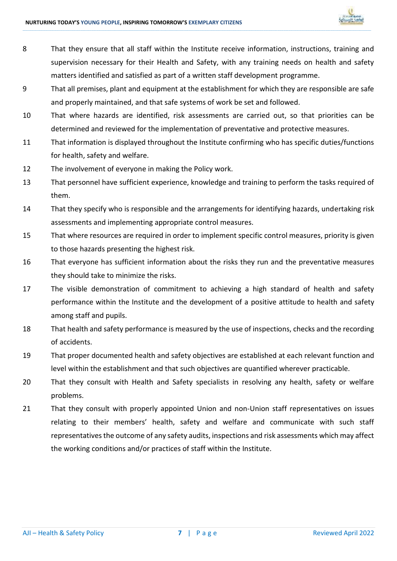

8 That they ensure that all staff within the Institute receive information, instructions, training and supervision necessary for their Health and Safety, with any training needs on health and safety matters identified and satisfied as part of a written staff development programme.

- 9 That all premises, plant and equipment at the establishment for which they are responsible are safe and properly maintained, and that safe systems of work be set and followed.
- 10 That where hazards are identified, risk assessments are carried out, so that priorities can be determined and reviewed for the implementation of preventative and protective measures.
- 11 That information is displayed throughout the Institute confirming who has specific duties/functions for health, safety and welfare.
- 12 The involvement of everyone in making the Policy work.
- 13 That personnel have sufficient experience, knowledge and training to perform the tasks required of them.
- 14 That they specify who is responsible and the arrangements for identifying hazards, undertaking risk assessments and implementing appropriate control measures.
- 15 That where resources are required in order to implement specific control measures, priority is given to those hazards presenting the highest risk.
- 16 That everyone has sufficient information about the risks they run and the preventative measures they should take to minimize the risks.
- 17 The visible demonstration of commitment to achieving a high standard of health and safety performance within the Institute and the development of a positive attitude to health and safety among staff and pupils.
- 18 That health and safety performance is measured by the use of inspections, checks and the recording of accidents.
- 19 That proper documented health and safety objectives are established at each relevant function and level within the establishment and that such objectives are quantified wherever practicable.
- 20 That they consult with Health and Safety specialists in resolving any health, safety or welfare problems.
- 21 That they consult with properly appointed Union and non-Union staff representatives on issues relating to their members' health, safety and welfare and communicate with such staff representatives the outcome of any safety audits, inspections and risk assessments which may affect the working conditions and/or practices of staff within the Institute.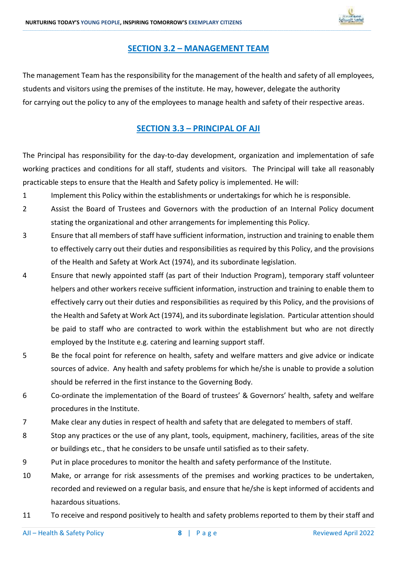

### **SECTION 3.2 – MANAGEMENT TEAM**

**\_\_\_\_\_\_\_\_\_\_\_\_\_\_\_\_\_\_\_\_\_\_\_\_\_\_\_\_\_\_\_\_\_\_\_\_\_\_\_\_\_\_\_\_\_\_\_\_\_\_\_\_\_\_\_\_\_\_\_\_\_\_\_\_\_\_\_\_\_\_\_\_\_\_\_\_\_\_\_\_\_\_\_\_\_\_\_\_\_\_\_\_\_\_\_\_\_\_\_\_\_\_\_\_\_\_\_\_\_\_\_\_\_\_\_\_\_\_\_\_\_\_\_\_\_\_\_\_\_\_\_\_\_\_\_\_\_\_\_\_\_\_\_\_\_\_\_\_\_\_\_\_\_\_\_\_\_\_\_\_\_\_\_\_\_\_\_\_\_\_\_\_\_\_\_\_\_\_\_\_\_\_\_\_\_\_\_\_\_\_\_\_\_\_\_\_\_\_\_\_\_\_\_\_\_\_\_\_\_\_\_\_\_\_\_\_\_\_\_\_\_\_\_\_\_\_\_\_\_\_\_\_\_\_\_\_\_\_\_\_\_\_\_\_\_\_\_\_\_\_\_\_\_\_\_\_\_\_\_\_\_\_\_\_\_\_\_\_\_\_\_\_\_\_\_\_\_\_\_\_\_\_\_\_\_\_\_\_\_\_\_\_\_\_\_\_\_\_\_\_\_\_\_\_\_\_\_\_\_\_\_\_\_\_\_\_\_\_\_\_\_\_\_\_\_\_\_\_\_\_\_\_\_\_\_\_\_\_\_\_\_\_\_\_\_\_\_\_\_\_**

The management Team has the responsibility for the management of the health and safety of all employees, students and visitors using the premises of the institute. He may, however, delegate the authority for carrying out the policy to any of the employees to manage health and safety of their respective areas.

### **SECTION 3.3 – PRINCIPAL OF AJI**

The Principal has responsibility for the day-to-day development, organization and implementation of safe working practices and conditions for all staff, students and visitors. The Principal will take all reasonably practicable steps to ensure that the Health and Safety policy is implemented. He will:

- 1 Implement this Policy within the establishments or undertakings for which he is responsible.
- 2 Assist the Board of Trustees and Governors with the production of an Internal Policy document stating the organizational and other arrangements for implementing this Policy.
- 3 Ensure that all members of staff have sufficient information, instruction and training to enable them to effectively carry out their duties and responsibilities as required by this Policy, and the provisions of the Health and Safety at Work Act (1974), and its subordinate legislation.
- 4 Ensure that newly appointed staff (as part of their Induction Program), temporary staff volunteer helpers and other workers receive sufficient information, instruction and training to enable them to effectively carry out their duties and responsibilities as required by this Policy, and the provisions of the Health and Safety at Work Act (1974), and its subordinate legislation. Particular attention should be paid to staff who are contracted to work within the establishment but who are not directly employed by the Institute e.g. catering and learning support staff.
- 5 Be the focal point for reference on health, safety and welfare matters and give advice or indicate sources of advice. Any health and safety problems for which he/she is unable to provide a solution should be referred in the first instance to the Governing Body.
- 6 Co-ordinate the implementation of the Board of trustees' & Governors' health, safety and welfare procedures in the Institute.
- 7 Make clear any duties in respect of health and safety that are delegated to members of staff.
- 8 Stop any practices or the use of any plant, tools, equipment, machinery, facilities, areas of the site or buildings etc., that he considers to be unsafe until satisfied as to their safety.
- 9 Put in place procedures to monitor the health and safety performance of the Institute.
- 10 Make, or arrange for risk assessments of the premises and working practices to be undertaken, recorded and reviewed on a regular basis, and ensure that he/she is kept informed of accidents and hazardous situations.
- 11 To receive and respond positively to health and safety problems reported to them by their staff and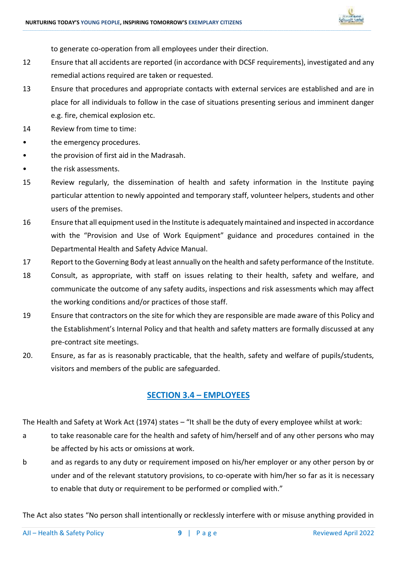

to generate co-operation from all employees under their direction.

12 Ensure that all accidents are reported (in accordance with DCSF requirements), investigated and any remedial actions required are taken or requested.

**\_\_\_\_\_\_\_\_\_\_\_\_\_\_\_\_\_\_\_\_\_\_\_\_\_\_\_\_\_\_\_\_\_\_\_\_\_\_\_\_\_\_\_\_\_\_\_\_\_\_\_\_\_\_\_\_\_\_\_\_\_\_\_\_\_\_\_\_\_\_\_\_\_\_\_\_\_\_\_\_\_\_\_\_\_\_\_\_\_\_\_\_\_\_\_\_\_\_\_\_\_\_\_\_\_\_\_\_\_\_\_\_\_\_\_\_\_\_\_\_\_\_\_\_\_\_\_\_\_\_\_\_\_\_\_\_\_\_\_\_\_\_\_\_\_\_\_\_\_\_\_\_\_\_\_\_\_\_\_\_\_\_\_\_\_\_\_\_\_\_\_\_\_\_\_\_\_\_\_\_\_\_\_\_\_\_\_\_\_\_\_\_\_\_\_\_\_\_\_\_\_\_\_\_\_\_\_\_\_\_\_\_\_\_\_\_\_\_\_\_\_\_\_\_\_\_\_\_\_\_\_\_\_\_\_\_\_\_\_\_\_\_\_\_\_\_\_\_\_\_\_\_\_\_\_\_\_\_\_\_\_\_\_\_\_\_\_\_\_\_\_\_\_\_\_\_\_\_\_\_\_\_\_\_\_\_\_\_\_\_\_\_\_\_\_\_\_\_\_\_\_\_\_\_\_\_\_\_\_\_\_\_\_\_\_\_\_\_\_\_\_\_\_\_\_\_\_\_\_\_\_\_\_\_\_\_\_\_\_\_\_\_\_\_\_\_\_\_\_\_**

- 13 Ensure that procedures and appropriate contacts with external services are established and are in place for all individuals to follow in the case of situations presenting serious and imminent danger e.g. fire, chemical explosion etc.
- 14 Review from time to time:
- the emergency procedures.
- the provision of first aid in the Madrasah.
- the risk assessments.
- 15 Review regularly, the dissemination of health and safety information in the Institute paying particular attention to newly appointed and temporary staff, volunteer helpers, students and other users of the premises.
- 16 Ensure that all equipment used in the Institute is adequately maintained and inspected in accordance with the "Provision and Use of Work Equipment" guidance and procedures contained in the Departmental Health and Safety Advice Manual.
- 17 Report to the Governing Body at least annually on the health and safety performance of the Institute.
- 18 Consult, as appropriate, with staff on issues relating to their health, safety and welfare, and communicate the outcome of any safety audits, inspections and risk assessments which may affect the working conditions and/or practices of those staff.
- 19 Ensure that contractors on the site for which they are responsible are made aware of this Policy and the Establishment's Internal Policy and that health and safety matters are formally discussed at any pre-contract site meetings.
- 20. Ensure, as far as is reasonably practicable, that the health, safety and welfare of pupils/students, visitors and members of the public are safeguarded.

### **SECTION 3.4 – EMPLOYEES**

The Health and Safety at Work Act (1974) states – "It shall be the duty of every employee whilst at work:

- a to take reasonable care for the health and safety of him/herself and of any other persons who may be affected by his acts or omissions at work.
- b and as regards to any duty or requirement imposed on his/her employer or any other person by or under and of the relevant statutory provisions, to co-operate with him/her so far as it is necessary to enable that duty or requirement to be performed or complied with."

The Act also states "No person shall intentionally or recklessly interfere with or misuse anything provided in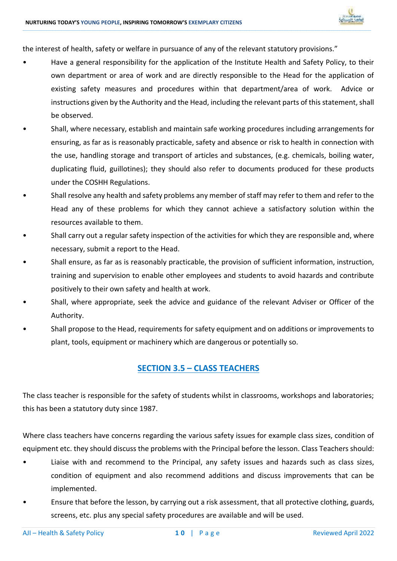the interest of health, safety or welfare in pursuance of any of the relevant statutory provisions."

• Have a general responsibility for the application of the Institute Health and Safety Policy, to their own department or area of work and are directly responsible to the Head for the application of existing safety measures and procedures within that department/area of work. Advice or instructions given by the Authority and the Head, including the relevant parts of this statement, shall be observed.

**\_\_\_\_\_\_\_\_\_\_\_\_\_\_\_\_\_\_\_\_\_\_\_\_\_\_\_\_\_\_\_\_\_\_\_\_\_\_\_\_\_\_\_\_\_\_\_\_\_\_\_\_\_\_\_\_\_\_\_\_\_\_\_\_\_\_\_\_\_\_\_\_\_\_\_\_\_\_\_\_\_\_\_\_\_\_\_\_\_\_\_\_\_\_\_\_\_\_\_\_\_\_\_\_\_\_\_\_\_\_\_\_\_\_\_\_\_\_\_\_\_\_\_\_\_\_\_\_\_\_\_\_\_\_\_\_\_\_\_\_\_\_\_\_\_\_\_\_\_\_\_\_\_\_\_\_\_\_\_\_\_\_\_\_\_\_\_\_\_\_\_\_\_\_\_\_\_\_\_\_\_\_\_\_\_\_\_\_\_\_\_\_\_\_\_\_\_\_\_\_\_\_\_\_\_\_\_\_\_\_\_\_\_\_\_\_\_\_\_\_\_\_\_\_\_\_\_\_\_\_\_\_\_\_\_\_\_\_\_\_\_\_\_\_\_\_\_\_\_\_\_\_\_\_\_\_\_\_\_\_\_\_\_\_\_\_\_\_\_\_\_\_\_\_\_\_\_\_\_\_\_\_\_\_\_\_\_\_\_\_\_\_\_\_\_\_\_\_\_\_\_\_\_\_\_\_\_\_\_\_\_\_\_\_\_\_\_\_\_\_\_\_\_\_\_\_\_\_\_\_\_\_\_\_\_\_\_\_\_\_\_\_\_\_\_\_\_\_\_\_**

- Shall, where necessary, establish and maintain safe working procedures including arrangements for ensuring, as far as is reasonably practicable, safety and absence or risk to health in connection with the use, handling storage and transport of articles and substances, (e.g. chemicals, boiling water, duplicating fluid, guillotines); they should also refer to documents produced for these products under the COSHH Regulations.
- Shall resolve any health and safety problems any member of staff may refer to them and refer to the Head any of these problems for which they cannot achieve a satisfactory solution within the resources available to them.
- Shall carry out a regular safety inspection of the activities for which they are responsible and, where necessary, submit a report to the Head.
- Shall ensure, as far as is reasonably practicable, the provision of sufficient information, instruction, training and supervision to enable other employees and students to avoid hazards and contribute positively to their own safety and health at work.
- Shall, where appropriate, seek the advice and guidance of the relevant Adviser or Officer of the Authority.
- Shall propose to the Head, requirements for safety equipment and on additions or improvements to plant, tools, equipment or machinery which are dangerous or potentially so.

### **SECTION 3.5 – CLASS TEACHERS**

The class teacher is responsible for the safety of students whilst in classrooms, workshops and laboratories; this has been a statutory duty since 1987.

Where class teachers have concerns regarding the various safety issues for example class sizes, condition of equipment etc. they should discuss the problems with the Principal before the lesson. Class Teachers should:

- Liaise with and recommend to the Principal, any safety issues and hazards such as class sizes, condition of equipment and also recommend additions and discuss improvements that can be implemented.
- Ensure that before the lesson, by carrying out a risk assessment, that all protective clothing, guards, screens, etc. plus any special safety procedures are available and will be used.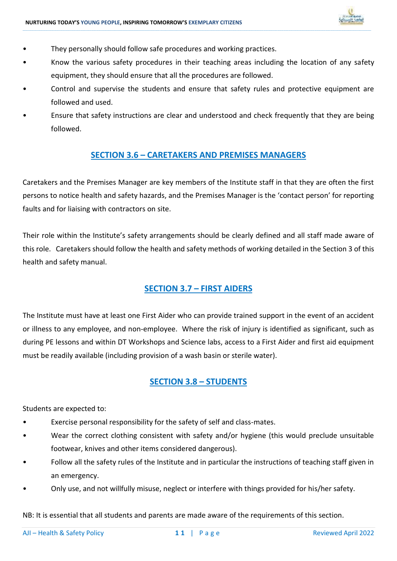

- They personally should follow safe procedures and working practices.
- Know the various safety procedures in their teaching areas including the location of any safety equipment, they should ensure that all the procedures are followed.

**\_\_\_\_\_\_\_\_\_\_\_\_\_\_\_\_\_\_\_\_\_\_\_\_\_\_\_\_\_\_\_\_\_\_\_\_\_\_\_\_\_\_\_\_\_\_\_\_\_\_\_\_\_\_\_\_\_\_\_\_\_\_\_\_\_\_\_\_\_\_\_\_\_\_\_\_\_\_\_\_\_\_\_\_\_\_\_\_\_\_\_\_\_\_\_\_\_\_\_\_\_\_\_\_\_\_\_\_\_\_\_\_\_\_\_\_\_\_\_\_\_\_\_\_\_\_\_\_\_\_\_\_\_\_\_\_\_\_\_\_\_\_\_\_\_\_\_\_\_\_\_\_\_\_\_\_\_\_\_\_\_\_\_\_\_\_\_\_\_\_\_\_\_\_\_\_\_\_\_\_\_\_\_\_\_\_\_\_\_\_\_\_\_\_\_\_\_\_\_\_\_\_\_\_\_\_\_\_\_\_\_\_\_\_\_\_\_\_\_\_\_\_\_\_\_\_\_\_\_\_\_\_\_\_\_\_\_\_\_\_\_\_\_\_\_\_\_\_\_\_\_\_\_\_\_\_\_\_\_\_\_\_\_\_\_\_\_\_\_\_\_\_\_\_\_\_\_\_\_\_\_\_\_\_\_\_\_\_\_\_\_\_\_\_\_\_\_\_\_\_\_\_\_\_\_\_\_\_\_\_\_\_\_\_\_\_\_\_\_\_\_\_\_\_\_\_\_\_\_\_\_\_\_\_\_\_\_\_\_\_\_\_\_\_\_\_\_\_\_\_**

- Control and supervise the students and ensure that safety rules and protective equipment are followed and used.
- Ensure that safety instructions are clear and understood and check frequently that they are being followed.

### **SECTION 3.6 – CARETAKERS AND PREMISES MANAGERS**

Caretakers and the Premises Manager are key members of the Institute staff in that they are often the first persons to notice health and safety hazards, and the Premises Manager is the 'contact person' for reporting faults and for liaising with contractors on site.

Their role within the Institute's safety arrangements should be clearly defined and all staff made aware of this role. Caretakers should follow the health and safety methods of working detailed in the Section 3 of this health and safety manual.

### **SECTION 3.7 – FIRST AIDERS**

The Institute must have at least one First Aider who can provide trained support in the event of an accident or illness to any employee, and non-employee. Where the risk of injury is identified as significant, such as during PE lessons and within DT Workshops and Science labs, access to a First Aider and first aid equipment must be readily available (including provision of a wash basin or sterile water).

### **SECTION 3.8 – STUDENTS**

Students are expected to:

- Exercise personal responsibility for the safety of self and class-mates.
- Wear the correct clothing consistent with safety and/or hygiene (this would preclude unsuitable footwear, knives and other items considered dangerous).
- Follow all the safety rules of the Institute and in particular the instructions of teaching staff given in an emergency.
- Only use, and not willfully misuse, neglect or interfere with things provided for his/her safety.

NB: It is essential that all students and parents are made aware of the requirements of this section.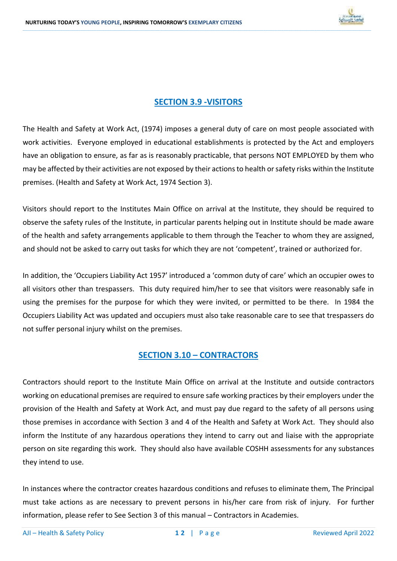

### **SECTION 3.9 -VISITORS**

**\_\_\_\_\_\_\_\_\_\_\_\_\_\_\_\_\_\_\_\_\_\_\_\_\_\_\_\_\_\_\_\_\_\_\_\_\_\_\_\_\_\_\_\_\_\_\_\_\_\_\_\_\_\_\_\_\_\_\_\_\_\_\_\_\_\_\_\_\_\_\_\_\_\_\_\_\_\_\_\_\_\_\_\_\_\_\_\_\_\_\_\_\_\_\_\_\_\_\_\_\_\_\_\_\_\_\_\_\_\_\_\_\_\_\_\_\_\_\_\_\_\_\_\_\_\_\_\_\_\_\_\_\_\_\_\_\_\_\_\_\_\_\_\_\_\_\_\_\_\_\_\_\_\_\_\_\_\_\_\_\_\_\_\_\_\_\_\_\_\_\_\_\_\_\_\_\_\_\_\_\_\_\_\_\_\_\_\_\_\_\_\_\_\_\_\_\_\_\_\_\_\_\_\_\_\_\_\_\_\_\_\_\_\_\_\_\_\_\_\_\_\_\_\_\_\_\_\_\_\_\_\_\_\_\_\_\_\_\_\_\_\_\_\_\_\_\_\_\_\_\_\_\_\_\_\_\_\_\_\_\_\_\_\_\_\_\_\_\_\_\_\_\_\_\_\_\_\_\_\_\_\_\_\_\_\_\_\_\_\_\_\_\_\_\_\_\_\_\_\_\_\_\_\_\_\_\_\_\_\_\_\_\_\_\_\_\_\_\_\_\_\_\_\_\_\_\_\_\_\_\_\_\_\_\_\_\_\_\_\_\_\_\_\_\_\_\_\_\_\_**

The Health and Safety at Work Act, (1974) imposes a general duty of care on most people associated with work activities. Everyone employed in educational establishments is protected by the Act and employers have an obligation to ensure, as far as is reasonably practicable, that persons NOT EMPLOYED by them who may be affected by their activities are not exposed by their actions to health or safety risks within the Institute premises. (Health and Safety at Work Act, 1974 Section 3).

Visitors should report to the Institutes Main Office on arrival at the Institute, they should be required to observe the safety rules of the Institute, in particular parents helping out in Institute should be made aware of the health and safety arrangements applicable to them through the Teacher to whom they are assigned, and should not be asked to carry out tasks for which they are not 'competent', trained or authorized for.

In addition, the 'Occupiers Liability Act 1957' introduced a 'common duty of care' which an occupier owes to all visitors other than trespassers. This duty required him/her to see that visitors were reasonably safe in using the premises for the purpose for which they were invited, or permitted to be there. In 1984 the Occupiers Liability Act was updated and occupiers must also take reasonable care to see that trespassers do not suffer personal injury whilst on the premises.

### **SECTION 3.10 – CONTRACTORS**

Contractors should report to the Institute Main Office on arrival at the Institute and outside contractors working on educational premises are required to ensure safe working practices by their employers under the provision of the Health and Safety at Work Act, and must pay due regard to the safety of all persons using those premises in accordance with Section 3 and 4 of the Health and Safety at Work Act. They should also inform the Institute of any hazardous operations they intend to carry out and liaise with the appropriate person on site regarding this work. They should also have available COSHH assessments for any substances they intend to use.

In instances where the contractor creates hazardous conditions and refuses to eliminate them, The Principal must take actions as are necessary to prevent persons in his/her care from risk of injury. For further information, please refer to See Section 3 of this manual – Contractors in Academies.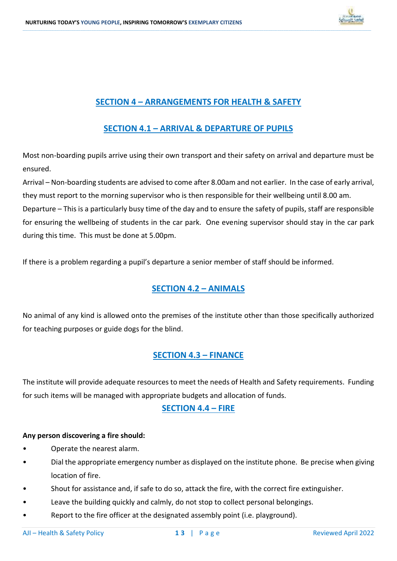

### **SECTION 4 – ARRANGEMENTS FOR HEALTH & SAFETY**

**\_\_\_\_\_\_\_\_\_\_\_\_\_\_\_\_\_\_\_\_\_\_\_\_\_\_\_\_\_\_\_\_\_\_\_\_\_\_\_\_\_\_\_\_\_\_\_\_\_\_\_\_\_\_\_\_\_\_\_\_\_\_\_\_\_\_\_\_\_\_\_\_\_\_\_\_\_\_\_\_\_\_\_\_\_\_\_\_\_\_\_\_\_\_\_\_\_\_\_\_\_\_\_\_\_\_\_\_\_\_\_\_\_\_\_\_\_\_\_\_\_\_\_\_\_\_\_\_\_\_\_\_\_\_\_\_\_\_\_\_\_\_\_\_\_\_\_\_\_\_\_\_\_\_\_\_\_\_\_\_\_\_\_\_\_\_\_\_\_\_\_\_\_\_\_\_\_\_\_\_\_\_\_\_\_\_\_\_\_\_\_\_\_\_\_\_\_\_\_\_\_\_\_\_\_\_\_\_\_\_\_\_\_\_\_\_\_\_\_\_\_\_\_\_\_\_\_\_\_\_\_\_\_\_\_\_\_\_\_\_\_\_\_\_\_\_\_\_\_\_\_\_\_\_\_\_\_\_\_\_\_\_\_\_\_\_\_\_\_\_\_\_\_\_\_\_\_\_\_\_\_\_\_\_\_\_\_\_\_\_\_\_\_\_\_\_\_\_\_\_\_\_\_\_\_\_\_\_\_\_\_\_\_\_\_\_\_\_\_\_\_\_\_\_\_\_\_\_\_\_\_\_\_\_\_\_\_\_\_\_\_\_\_\_\_\_\_\_\_\_**

### **SECTION 4.1 – ARRIVAL & DEPARTURE OF PUPILS**

Most non-boarding pupils arrive using their own transport and their safety on arrival and departure must be ensured.

Arrival – Non-boarding students are advised to come after 8.00am and not earlier. In the case of early arrival, they must report to the morning supervisor who is then responsible for their wellbeing until 8.00 am.

Departure – This is a particularly busy time of the day and to ensure the safety of pupils, staff are responsible for ensuring the wellbeing of students in the car park. One evening supervisor should stay in the car park during this time. This must be done at 5.00pm.

If there is a problem regarding a pupil's departure a senior member of staff should be informed.

### **SECTION 4.2 – ANIMALS**

No animal of any kind is allowed onto the premises of the institute other than those specifically authorized for teaching purposes or guide dogs for the blind.

### **SECTION 4.3 – FINANCE**

The institute will provide adequate resources to meet the needs of Health and Safety requirements. Funding for such items will be managed with appropriate budgets and allocation of funds.

### **SECTION 4.4 – FIRE**

### **Any person discovering a fire should:**

- Operate the nearest alarm.
- Dial the appropriate emergency number as displayed on the institute phone. Be precise when giving location of fire.
- Shout for assistance and, if safe to do so, attack the fire, with the correct fire extinguisher.
- Leave the building quickly and calmly, do not stop to collect personal belongings.
- Report to the fire officer at the designated assembly point (i.e. playground).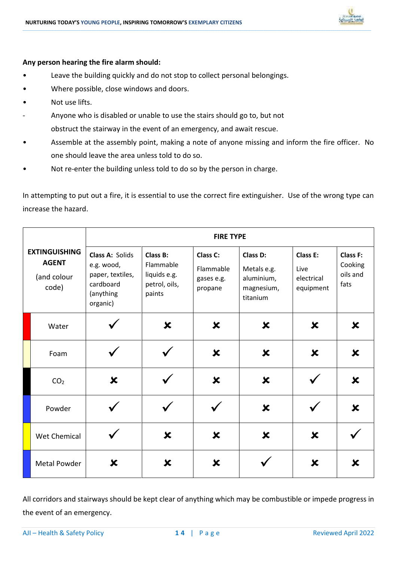

### **Any person hearing the fire alarm should:**

- Leave the building quickly and do not stop to collect personal belongings.
- Where possible, close windows and doors.
- Not use lifts.
- Anyone who is disabled or unable to use the stairs should go to, but not obstruct the stairway in the event of an emergency, and await rescue.
- Assemble at the assembly point, making a note of anyone missing and inform the fire officer. No one should leave the area unless told to do so.

**\_\_\_\_\_\_\_\_\_\_\_\_\_\_\_\_\_\_\_\_\_\_\_\_\_\_\_\_\_\_\_\_\_\_\_\_\_\_\_\_\_\_\_\_\_\_\_\_\_\_\_\_\_\_\_\_\_\_\_\_\_\_\_\_\_\_\_\_\_\_\_\_\_\_\_\_\_\_\_\_\_\_\_\_\_\_\_\_\_\_\_\_\_\_\_\_\_\_\_\_\_\_\_\_\_\_\_\_\_\_\_\_\_\_\_\_\_\_\_\_\_\_\_\_\_\_\_\_\_\_\_\_\_\_\_\_\_\_\_\_\_\_\_\_\_\_\_\_\_\_\_\_\_\_\_\_\_\_\_\_\_\_\_\_\_\_\_\_\_\_\_\_\_\_\_\_\_\_\_\_\_\_\_\_\_\_\_\_\_\_\_\_\_\_\_\_\_\_\_\_\_\_\_\_\_\_\_\_\_\_\_\_\_\_\_\_\_\_\_\_\_\_\_\_\_\_\_\_\_\_\_\_\_\_\_\_\_\_\_\_\_\_\_\_\_\_\_\_\_\_\_\_\_\_\_\_\_\_\_\_\_\_\_\_\_\_\_\_\_\_\_\_\_\_\_\_\_\_\_\_\_\_\_\_\_\_\_\_\_\_\_\_\_\_\_\_\_\_\_\_\_\_\_\_\_\_\_\_\_\_\_\_\_\_\_\_\_\_\_\_\_\_\_\_\_\_\_\_\_\_\_\_\_\_\_\_\_\_\_\_\_\_\_\_\_\_\_\_\_\_**

• Not re-enter the building unless told to do so by the person in charge.

In attempting to put out a fire, it is essential to use the correct fire extinguisher. Use of the wrong type can increase the hazard.

|                                                              | <b>FIRE TYPE</b>                                                                        |                                                                  |                                                |                                                                 |                                             |                                                |
|--------------------------------------------------------------|-----------------------------------------------------------------------------------------|------------------------------------------------------------------|------------------------------------------------|-----------------------------------------------------------------|---------------------------------------------|------------------------------------------------|
| <b>EXTINGUISHING</b><br><b>AGENT</b><br>(and colour<br>code) | Class A: Solids<br>e.g. wood,<br>paper, textiles,<br>cardboard<br>(anything<br>organic) | Class B:<br>Flammable<br>liquids e.g.<br>petrol, oils,<br>paints | Class C:<br>Flammable<br>gases e.g.<br>propane | Class D:<br>Metals e.g.<br>aluminium,<br>magnesium,<br>titanium | Class E:<br>Live<br>electrical<br>equipment | <b>Class F:</b><br>Cooking<br>oils and<br>fats |
| Water                                                        |                                                                                         | $\boldsymbol{\mathsf{x}}$                                        | $\boldsymbol{\mathsf{x}}$                      | $\boldsymbol{\mathsf{x}}$                                       | $\boldsymbol{\mathsf{x}}$                   | $\boldsymbol{\mathsf{x}}$                      |
| Foam                                                         |                                                                                         |                                                                  | $\boldsymbol{\mathsf{x}}$                      | $\boldsymbol{\mathsf{x}}$                                       | $\boldsymbol{\mathsf{x}}$                   | $\boldsymbol{\mathsf{x}}$                      |
| CO <sub>2</sub>                                              | X                                                                                       |                                                                  | $\boldsymbol{\mathsf{x}}$                      | ×                                                               |                                             | $\boldsymbol{\mathsf{x}}$                      |
| Powder                                                       |                                                                                         |                                                                  |                                                | $\boldsymbol{\mathsf{x}}$                                       |                                             | $\boldsymbol{\mathsf{x}}$                      |
| Wet Chemical                                                 |                                                                                         | $\boldsymbol{\mathsf{x}}$                                        | X                                              | $\boldsymbol{\mathsf{x}}$                                       | X                                           |                                                |
| <b>Metal Powder</b>                                          | $\boldsymbol{\mathsf{x}}$                                                               | $\boldsymbol{\mathsf{x}}$                                        | $\boldsymbol{\mathsf{x}}$                      |                                                                 | $\boldsymbol{\mathsf{x}}$                   | $\boldsymbol{\mathsf{x}}$                      |

All corridors and stairways should be kept clear of anything which may be combustible or impede progress in the event of an emergency.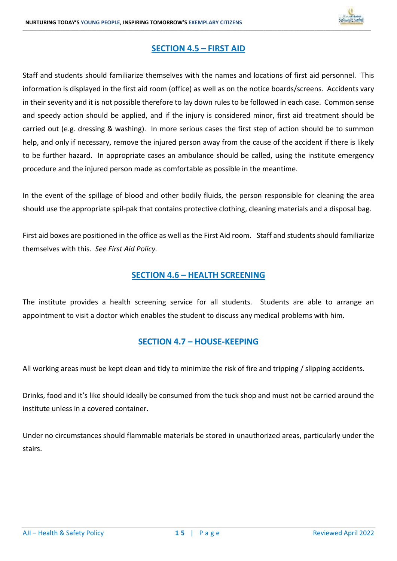

### **SECTION 4.5 – FIRST AID**

**\_\_\_\_\_\_\_\_\_\_\_\_\_\_\_\_\_\_\_\_\_\_\_\_\_\_\_\_\_\_\_\_\_\_\_\_\_\_\_\_\_\_\_\_\_\_\_\_\_\_\_\_\_\_\_\_\_\_\_\_\_\_\_\_\_\_\_\_\_\_\_\_\_\_\_\_\_\_\_\_\_\_\_\_\_\_\_\_\_\_\_\_\_\_\_\_\_\_\_\_\_\_\_\_\_\_\_\_\_\_\_\_\_\_\_\_\_\_\_\_\_\_\_\_\_\_\_\_\_\_\_\_\_\_\_\_\_\_\_\_\_\_\_\_\_\_\_\_\_\_\_\_\_\_\_\_\_\_\_\_\_\_\_\_\_\_\_\_\_\_\_\_\_\_\_\_\_\_\_\_\_\_\_\_\_\_\_\_\_\_\_\_\_\_\_\_\_\_\_\_\_\_\_\_\_\_\_\_\_\_\_\_\_\_\_\_\_\_\_\_\_\_\_\_\_\_\_\_\_\_\_\_\_\_\_\_\_\_\_\_\_\_\_\_\_\_\_\_\_\_\_\_\_\_\_\_\_\_\_\_\_\_\_\_\_\_\_\_\_\_\_\_\_\_\_\_\_\_\_\_\_\_\_\_\_\_\_\_\_\_\_\_\_\_\_\_\_\_\_\_\_\_\_\_\_\_\_\_\_\_\_\_\_\_\_\_\_\_\_\_\_\_\_\_\_\_\_\_\_\_\_\_\_\_\_\_\_\_\_\_\_\_\_\_\_\_\_\_\_\_**

Staff and students should familiarize themselves with the names and locations of first aid personnel. This information is displayed in the first aid room (office) as well as on the notice boards/screens. Accidents vary in their severity and it is not possible therefore to lay down rules to be followed in each case. Common sense and speedy action should be applied, and if the injury is considered minor, first aid treatment should be carried out (e.g. dressing & washing). In more serious cases the first step of action should be to summon help, and only if necessary, remove the injured person away from the cause of the accident if there is likely to be further hazard. In appropriate cases an ambulance should be called, using the institute emergency procedure and the injured person made as comfortable as possible in the meantime.

In the event of the spillage of blood and other bodily fluids, the person responsible for cleaning the area should use the appropriate spil-pak that contains protective clothing, cleaning materials and a disposal bag.

First aid boxes are positioned in the office as well as the First Aid room. Staff and students should familiarize themselves with this. *See First Aid Policy.*

### **SECTION 4.6 – HEALTH SCREENING**

The institute provides a health screening service for all students. Students are able to arrange an appointment to visit a doctor which enables the student to discuss any medical problems with him.

### **SECTION 4.7 – HOUSE-KEEPING**

All working areas must be kept clean and tidy to minimize the risk of fire and tripping / slipping accidents.

Drinks, food and it's like should ideally be consumed from the tuck shop and must not be carried around the institute unless in a covered container.

Under no circumstances should flammable materials be stored in unauthorized areas, particularly under the stairs.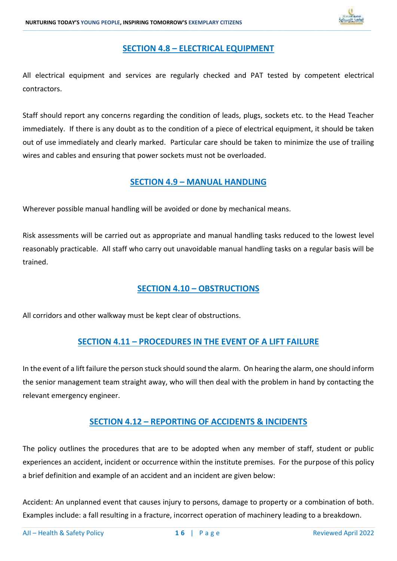

### **SECTION 4.8 – ELECTRICAL EQUIPMENT**

**\_\_\_\_\_\_\_\_\_\_\_\_\_\_\_\_\_\_\_\_\_\_\_\_\_\_\_\_\_\_\_\_\_\_\_\_\_\_\_\_\_\_\_\_\_\_\_\_\_\_\_\_\_\_\_\_\_\_\_\_\_\_\_\_\_\_\_\_\_\_\_\_\_\_\_\_\_\_\_\_\_\_\_\_\_\_\_\_\_\_\_\_\_\_\_\_\_\_\_\_\_\_\_\_\_\_\_\_\_\_\_\_\_\_\_\_\_\_\_\_\_\_\_\_\_\_\_\_\_\_\_\_\_\_\_\_\_\_\_\_\_\_\_\_\_\_\_\_\_\_\_\_\_\_\_\_\_\_\_\_\_\_\_\_\_\_\_\_\_\_\_\_\_\_\_\_\_\_\_\_\_\_\_\_\_\_\_\_\_\_\_\_\_\_\_\_\_\_\_\_\_\_\_\_\_\_\_\_\_\_\_\_\_\_\_\_\_\_\_\_\_\_\_\_\_\_\_\_\_\_\_\_\_\_\_\_\_\_\_\_\_\_\_\_\_\_\_\_\_\_\_\_\_\_\_\_\_\_\_\_\_\_\_\_\_\_\_\_\_\_\_\_\_\_\_\_\_\_\_\_\_\_\_\_\_\_\_\_\_\_\_\_\_\_\_\_\_\_\_\_\_\_\_\_\_\_\_\_\_\_\_\_\_\_\_\_\_\_\_\_\_\_\_\_\_\_\_\_\_\_\_\_\_\_\_\_\_\_\_\_\_\_\_\_\_\_\_\_\_\_**

All electrical equipment and services are regularly checked and PAT tested by competent electrical contractors.

Staff should report any concerns regarding the condition of leads, plugs, sockets etc. to the Head Teacher immediately. If there is any doubt as to the condition of a piece of electrical equipment, it should be taken out of use immediately and clearly marked. Particular care should be taken to minimize the use of trailing wires and cables and ensuring that power sockets must not be overloaded.

### **SECTION 4.9 – MANUAL HANDLING**

Wherever possible manual handling will be avoided or done by mechanical means.

Risk assessments will be carried out as appropriate and manual handling tasks reduced to the lowest level reasonably practicable. All staff who carry out unavoidable manual handling tasks on a regular basis will be trained.

### **SECTION 4.10 – OBSTRUCTIONS**

All corridors and other walkway must be kept clear of obstructions.

### **SECTION 4.11 – PROCEDURES IN THE EVENT OF A LIFT FAILURE**

In the event of a lift failure the person stuck should sound the alarm. On hearing the alarm, one should inform the senior management team straight away, who will then deal with the problem in hand by contacting the relevant emergency engineer.

### **SECTION 4.12 – REPORTING OF ACCIDENTS & INCIDENTS**

The policy outlines the procedures that are to be adopted when any member of staff, student or public experiences an accident, incident or occurrence within the institute premises. For the purpose of this policy a brief definition and example of an accident and an incident are given below:

Accident: An unplanned event that causes injury to persons, damage to property or a combination of both. Examples include: a fall resulting in a fracture, incorrect operation of machinery leading to a breakdown.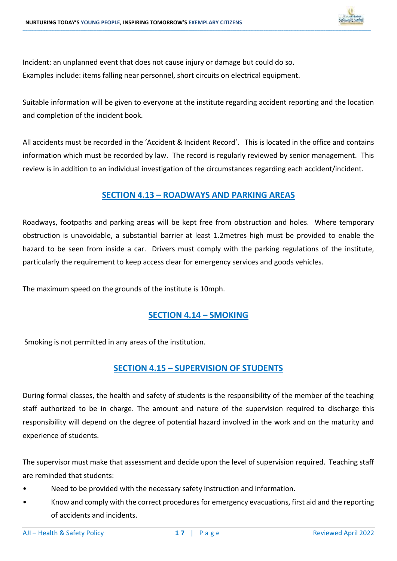

Incident: an unplanned event that does not cause injury or damage but could do so. Examples include: items falling near personnel, short circuits on electrical equipment.

Suitable information will be given to everyone at the institute regarding accident reporting and the location and completion of the incident book.

**\_\_\_\_\_\_\_\_\_\_\_\_\_\_\_\_\_\_\_\_\_\_\_\_\_\_\_\_\_\_\_\_\_\_\_\_\_\_\_\_\_\_\_\_\_\_\_\_\_\_\_\_\_\_\_\_\_\_\_\_\_\_\_\_\_\_\_\_\_\_\_\_\_\_\_\_\_\_\_\_\_\_\_\_\_\_\_\_\_\_\_\_\_\_\_\_\_\_\_\_\_\_\_\_\_\_\_\_\_\_\_\_\_\_\_\_\_\_\_\_\_\_\_\_\_\_\_\_\_\_\_\_\_\_\_\_\_\_\_\_\_\_\_\_\_\_\_\_\_\_\_\_\_\_\_\_\_\_\_\_\_\_\_\_\_\_\_\_\_\_\_\_\_\_\_\_\_\_\_\_\_\_\_\_\_\_\_\_\_\_\_\_\_\_\_\_\_\_\_\_\_\_\_\_\_\_\_\_\_\_\_\_\_\_\_\_\_\_\_\_\_\_\_\_\_\_\_\_\_\_\_\_\_\_\_\_\_\_\_\_\_\_\_\_\_\_\_\_\_\_\_\_\_\_\_\_\_\_\_\_\_\_\_\_\_\_\_\_\_\_\_\_\_\_\_\_\_\_\_\_\_\_\_\_\_\_\_\_\_\_\_\_\_\_\_\_\_\_\_\_\_\_\_\_\_\_\_\_\_\_\_\_\_\_\_\_\_\_\_\_\_\_\_\_\_\_\_\_\_\_\_\_\_\_\_\_\_\_\_\_\_\_\_\_\_\_\_\_\_\_**

All accidents must be recorded in the 'Accident & Incident Record'. This is located in the office and contains information which must be recorded by law. The record is regularly reviewed by senior management. This review is in addition to an individual investigation of the circumstances regarding each accident/incident.

### **SECTION 4.13 – ROADWAYS AND PARKING AREAS**

Roadways, footpaths and parking areas will be kept free from obstruction and holes. Where temporary obstruction is unavoidable, a substantial barrier at least 1.2metres high must be provided to enable the hazard to be seen from inside a car. Drivers must comply with the parking regulations of the institute, particularly the requirement to keep access clear for emergency services and goods vehicles.

The maximum speed on the grounds of the institute is 10mph.

### **SECTION 4.14 – SMOKING**

Smoking is not permitted in any areas of the institution.

### **SECTION 4.15 – SUPERVISION OF STUDENTS**

During formal classes, the health and safety of students is the responsibility of the member of the teaching staff authorized to be in charge. The amount and nature of the supervision required to discharge this responsibility will depend on the degree of potential hazard involved in the work and on the maturity and experience of students.

The supervisor must make that assessment and decide upon the level of supervision required. Teaching staff are reminded that students:

- Need to be provided with the necessary safety instruction and information.
- Know and comply with the correct procedures for emergency evacuations, first aid and the reporting of accidents and incidents.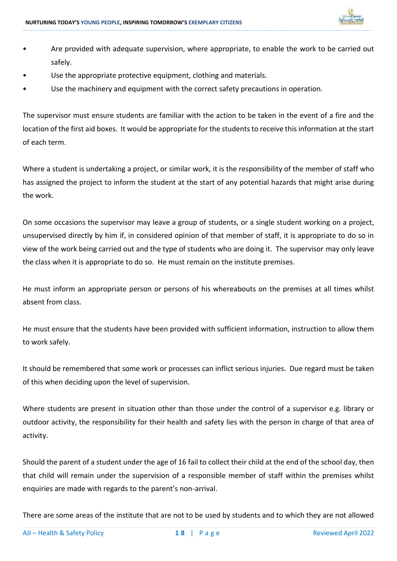

• Are provided with adequate supervision, where appropriate, to enable the work to be carried out safely.

**\_\_\_\_\_\_\_\_\_\_\_\_\_\_\_\_\_\_\_\_\_\_\_\_\_\_\_\_\_\_\_\_\_\_\_\_\_\_\_\_\_\_\_\_\_\_\_\_\_\_\_\_\_\_\_\_\_\_\_\_\_\_\_\_\_\_\_\_\_\_\_\_\_\_\_\_\_\_\_\_\_\_\_\_\_\_\_\_\_\_\_\_\_\_\_\_\_\_\_\_\_\_\_\_\_\_\_\_\_\_\_\_\_\_\_\_\_\_\_\_\_\_\_\_\_\_\_\_\_\_\_\_\_\_\_\_\_\_\_\_\_\_\_\_\_\_\_\_\_\_\_\_\_\_\_\_\_\_\_\_\_\_\_\_\_\_\_\_\_\_\_\_\_\_\_\_\_\_\_\_\_\_\_\_\_\_\_\_\_\_\_\_\_\_\_\_\_\_\_\_\_\_\_\_\_\_\_\_\_\_\_\_\_\_\_\_\_\_\_\_\_\_\_\_\_\_\_\_\_\_\_\_\_\_\_\_\_\_\_\_\_\_\_\_\_\_\_\_\_\_\_\_\_\_\_\_\_\_\_\_\_\_\_\_\_\_\_\_\_\_\_\_\_\_\_\_\_\_\_\_\_\_\_\_\_\_\_\_\_\_\_\_\_\_\_\_\_\_\_\_\_\_\_\_\_\_\_\_\_\_\_\_\_\_\_\_\_\_\_\_\_\_\_\_\_\_\_\_\_\_\_\_\_\_\_\_\_\_\_\_\_\_\_\_\_\_\_\_\_\_**

- Use the appropriate protective equipment, clothing and materials.
- Use the machinery and equipment with the correct safety precautions in operation.

The supervisor must ensure students are familiar with the action to be taken in the event of a fire and the location of the first aid boxes. It would be appropriate for the students to receive this information at the start of each term.

Where a student is undertaking a project, or similar work, it is the responsibility of the member of staff who has assigned the project to inform the student at the start of any potential hazards that might arise during the work.

On some occasions the supervisor may leave a group of students, or a single student working on a project, unsupervised directly by him if, in considered opinion of that member of staff, it is appropriate to do so in view of the work being carried out and the type of students who are doing it. The supervisor may only leave the class when it is appropriate to do so. He must remain on the institute premises.

He must inform an appropriate person or persons of his whereabouts on the premises at all times whilst absent from class.

He must ensure that the students have been provided with sufficient information, instruction to allow them to work safely.

It should be remembered that some work or processes can inflict serious injuries. Due regard must be taken of this when deciding upon the level of supervision.

Where students are present in situation other than those under the control of a supervisor e.g. library or outdoor activity, the responsibility for their health and safety lies with the person in charge of that area of activity.

Should the parent of a student under the age of 16 fail to collect their child at the end of the school day, then that child will remain under the supervision of a responsible member of staff within the premises whilst enquiries are made with regards to the parent's non-arrival.

There are some areas of the institute that are not to be used by students and to which they are not allowed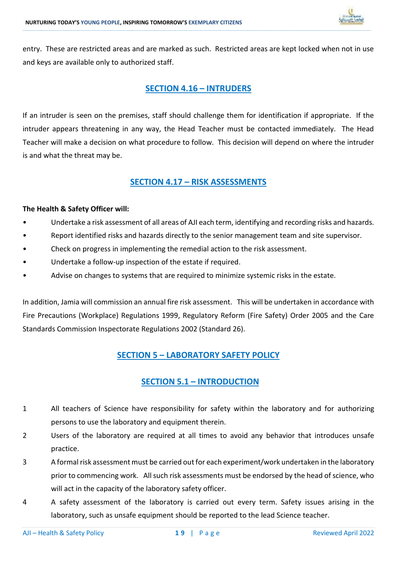

entry. These are restricted areas and are marked as such. Restricted areas are kept locked when not in use and keys are available only to authorized staff.

**\_\_\_\_\_\_\_\_\_\_\_\_\_\_\_\_\_\_\_\_\_\_\_\_\_\_\_\_\_\_\_\_\_\_\_\_\_\_\_\_\_\_\_\_\_\_\_\_\_\_\_\_\_\_\_\_\_\_\_\_\_\_\_\_\_\_\_\_\_\_\_\_\_\_\_\_\_\_\_\_\_\_\_\_\_\_\_\_\_\_\_\_\_\_\_\_\_\_\_\_\_\_\_\_\_\_\_\_\_\_\_\_\_\_\_\_\_\_\_\_\_\_\_\_\_\_\_\_\_\_\_\_\_\_\_\_\_\_\_\_\_\_\_\_\_\_\_\_\_\_\_\_\_\_\_\_\_\_\_\_\_\_\_\_\_\_\_\_\_\_\_\_\_\_\_\_\_\_\_\_\_\_\_\_\_\_\_\_\_\_\_\_\_\_\_\_\_\_\_\_\_\_\_\_\_\_\_\_\_\_\_\_\_\_\_\_\_\_\_\_\_\_\_\_\_\_\_\_\_\_\_\_\_\_\_\_\_\_\_\_\_\_\_\_\_\_\_\_\_\_\_\_\_\_\_\_\_\_\_\_\_\_\_\_\_\_\_\_\_\_\_\_\_\_\_\_\_\_\_\_\_\_\_\_\_\_\_\_\_\_\_\_\_\_\_\_\_\_\_\_\_\_\_\_\_\_\_\_\_\_\_\_\_\_\_\_\_\_\_\_\_\_\_\_\_\_\_\_\_\_\_\_\_\_\_\_\_\_\_\_\_\_\_\_\_\_\_\_\_\_**

### **SECTION 4.16 – INTRUDERS**

If an intruder is seen on the premises, staff should challenge them for identification if appropriate. If the intruder appears threatening in any way, the Head Teacher must be contacted immediately. The Head Teacher will make a decision on what procedure to follow. This decision will depend on where the intruder is and what the threat may be.

### **SECTION 4.17 – RISK ASSESSMENTS**

### **The Health & Safety Officer will:**

- Undertake a risk assessment of all areas of AJI each term, identifying and recording risks and hazards.
- Report identified risks and hazards directly to the senior management team and site supervisor.
- Check on progress in implementing the remedial action to the risk assessment.
- Undertake a follow-up inspection of the estate if required.
- Advise on changes to systems that are required to minimize systemic risks in the estate.

In addition, Jamia will commission an annual fire risk assessment. This will be undertaken in accordance with Fire Precautions (Workplace) Regulations 1999, Regulatory Reform (Fire Safety) Order 2005 and the Care Standards Commission Inspectorate Regulations 2002 (Standard 26).

### **SECTION 5 – LABORATORY SAFETY POLICY**

### **SECTION 5.1 – INTRODUCTION**

- 1 All teachers of Science have responsibility for safety within the laboratory and for authorizing persons to use the laboratory and equipment therein.
- 2 Users of the laboratory are required at all times to avoid any behavior that introduces unsafe practice.
- 3 A formal risk assessment must be carried out for each experiment/work undertaken in the laboratory prior to commencing work. All such risk assessments must be endorsed by the head of science, who will act in the capacity of the laboratory safety officer.
- 4 A safety assessment of the laboratory is carried out every term. Safety issues arising in the laboratory, such as unsafe equipment should be reported to the lead Science teacher.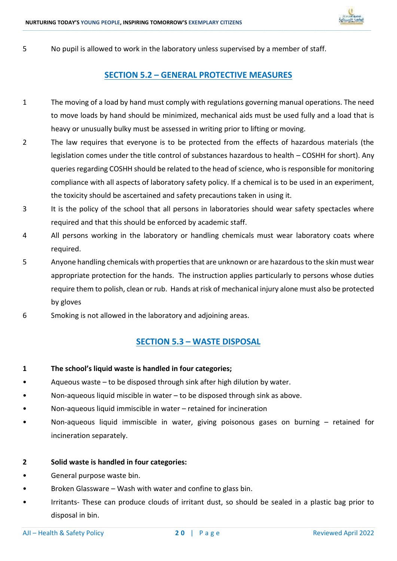

5 No pupil is allowed to work in the laboratory unless supervised by a member of staff.

### **SECTION 5.2 – GENERAL PROTECTIVE MEASURES**

**\_\_\_\_\_\_\_\_\_\_\_\_\_\_\_\_\_\_\_\_\_\_\_\_\_\_\_\_\_\_\_\_\_\_\_\_\_\_\_\_\_\_\_\_\_\_\_\_\_\_\_\_\_\_\_\_\_\_\_\_\_\_\_\_\_\_\_\_\_\_\_\_\_\_\_\_\_\_\_\_\_\_\_\_\_\_\_\_\_\_\_\_\_\_\_\_\_\_\_\_\_\_\_\_\_\_\_\_\_\_\_\_\_\_\_\_\_\_\_\_\_\_\_\_\_\_\_\_\_\_\_\_\_\_\_\_\_\_\_\_\_\_\_\_\_\_\_\_\_\_\_\_\_\_\_\_\_\_\_\_\_\_\_\_\_\_\_\_\_\_\_\_\_\_\_\_\_\_\_\_\_\_\_\_\_\_\_\_\_\_\_\_\_\_\_\_\_\_\_\_\_\_\_\_\_\_\_\_\_\_\_\_\_\_\_\_\_\_\_\_\_\_\_\_\_\_\_\_\_\_\_\_\_\_\_\_\_\_\_\_\_\_\_\_\_\_\_\_\_\_\_\_\_\_\_\_\_\_\_\_\_\_\_\_\_\_\_\_\_\_\_\_\_\_\_\_\_\_\_\_\_\_\_\_\_\_\_\_\_\_\_\_\_\_\_\_\_\_\_\_\_\_\_\_\_\_\_\_\_\_\_\_\_\_\_\_\_\_\_\_\_\_\_\_\_\_\_\_\_\_\_\_\_\_\_\_\_\_\_\_\_\_\_\_\_\_\_\_\_\_**

- 1 The moving of a load by hand must comply with regulations governing manual operations. The need to move loads by hand should be minimized, mechanical aids must be used fully and a load that is heavy or unusually bulky must be assessed in writing prior to lifting or moving.
- 2 The law requires that everyone is to be protected from the effects of hazardous materials (the legislation comes under the title control of substances hazardous to health – COSHH for short). Any queries regarding COSHH should be related to the head of science, who is responsible for monitoring compliance with all aspects of laboratory safety policy. If a chemical is to be used in an experiment, the toxicity should be ascertained and safety precautions taken in using it.
- 3 It is the policy of the school that all persons in laboratories should wear safety spectacles where required and that this should be enforced by academic staff.
- 4 All persons working in the laboratory or handling chemicals must wear laboratory coats where required.
- 5 Anyone handling chemicals with properties that are unknown or are hazardous to the skin must wear appropriate protection for the hands. The instruction applies particularly to persons whose duties require them to polish, clean or rub. Hands at risk of mechanical injury alone must also be protected by gloves
- 6 Smoking is not allowed in the laboratory and adjoining areas.

### **SECTION 5.3 – WASTE DISPOSAL**

- **1 The school's liquid waste is handled in four categories;**
- Aqueous waste to be disposed through sink after high dilution by water.
- Non-aqueous liquid miscible in water to be disposed through sink as above.
- Non-aqueous liquid immiscible in water retained for incineration
- Non-aqueous liquid immiscible in water, giving poisonous gases on burning retained for incineration separately.

### **2 Solid waste is handled in four categories:**

- General purpose waste bin.
- Broken Glassware Wash with water and confine to glass bin.
- Irritants- These can produce clouds of irritant dust, so should be sealed in a plastic bag prior to disposal in bin.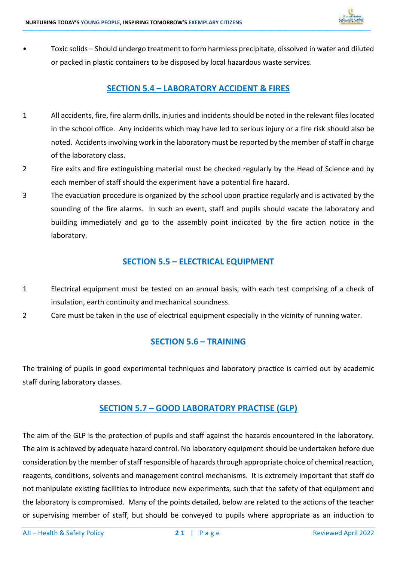

• Toxic solids – Should undergo treatment to form harmless precipitate, dissolved in water and diluted or packed in plastic containers to be disposed by local hazardous waste services.

**\_\_\_\_\_\_\_\_\_\_\_\_\_\_\_\_\_\_\_\_\_\_\_\_\_\_\_\_\_\_\_\_\_\_\_\_\_\_\_\_\_\_\_\_\_\_\_\_\_\_\_\_\_\_\_\_\_\_\_\_\_\_\_\_\_\_\_\_\_\_\_\_\_\_\_\_\_\_\_\_\_\_\_\_\_\_\_\_\_\_\_\_\_\_\_\_\_\_\_\_\_\_\_\_\_\_\_\_\_\_\_\_\_\_\_\_\_\_\_\_\_\_\_\_\_\_\_\_\_\_\_\_\_\_\_\_\_\_\_\_\_\_\_\_\_\_\_\_\_\_\_\_\_\_\_\_\_\_\_\_\_\_\_\_\_\_\_\_\_\_\_\_\_\_\_\_\_\_\_\_\_\_\_\_\_\_\_\_\_\_\_\_\_\_\_\_\_\_\_\_\_\_\_\_\_\_\_\_\_\_\_\_\_\_\_\_\_\_\_\_\_\_\_\_\_\_\_\_\_\_\_\_\_\_\_\_\_\_\_\_\_\_\_\_\_\_\_\_\_\_\_\_\_\_\_\_\_\_\_\_\_\_\_\_\_\_\_\_\_\_\_\_\_\_\_\_\_\_\_\_\_\_\_\_\_\_\_\_\_\_\_\_\_\_\_\_\_\_\_\_\_\_\_\_\_\_\_\_\_\_\_\_\_\_\_\_\_\_\_\_\_\_\_\_\_\_\_\_\_\_\_\_\_\_\_\_\_\_\_\_\_\_\_\_\_\_\_\_\_\_**

### **SECTION 5.4 – LABORATORY ACCIDENT & FIRES**

- 1 All accidents, fire, fire alarm drills, injuries and incidents should be noted in the relevant files located in the school office. Any incidents which may have led to serious injury or a fire risk should also be noted. Accidents involving work in the laboratory must be reported by the member of staff in charge of the laboratory class.
- 2 Fire exits and fire extinguishing material must be checked regularly by the Head of Science and by each member of staff should the experiment have a potential fire hazard.
- 3 The evacuation procedure is organized by the school upon practice regularly and is activated by the sounding of the fire alarms. In such an event, staff and pupils should vacate the laboratory and building immediately and go to the assembly point indicated by the fire action notice in the laboratory.

### **SECTION 5.5 – ELECTRICAL EQUIPMENT**

- 1 Electrical equipment must be tested on an annual basis, with each test comprising of a check of insulation, earth continuity and mechanical soundness.
- 2 Care must be taken in the use of electrical equipment especially in the vicinity of running water.

### **SECTION 5.6 – TRAINING**

The training of pupils in good experimental techniques and laboratory practice is carried out by academic staff during laboratory classes.

### **SECTION 5.7 – GOOD LABORATORY PRACTISE (GLP)**

The aim of the GLP is the protection of pupils and staff against the hazards encountered in the laboratory. The aim is achieved by adequate hazard control. No laboratory equipment should be undertaken before due consideration by the member of staff responsible of hazards through appropriate choice of chemical reaction, reagents, conditions, solvents and management control mechanisms. It is extremely important that staff do not manipulate existing facilities to introduce new experiments, such that the safety of that equipment and the laboratory is compromised. Many of the points detailed, below are related to the actions of the teacher or supervising member of staff, but should be conveyed to pupils where appropriate as an induction to